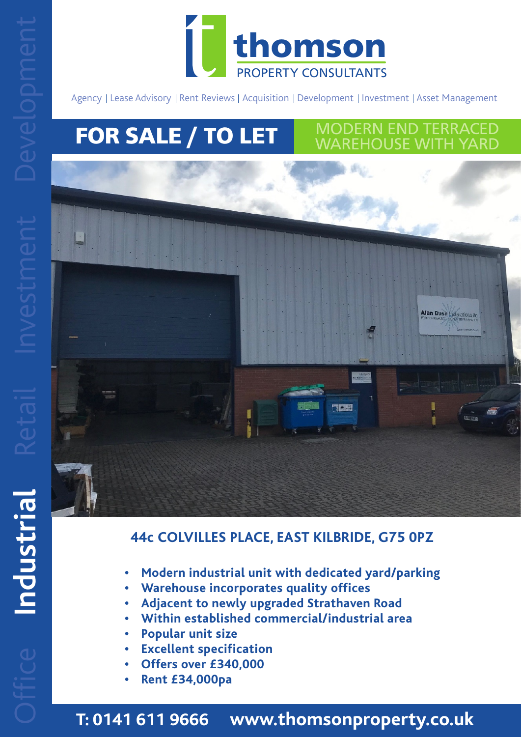

Agency | Lease Advisory | Rent Reviews | Acquisition | Development | Investment | Asset Management | Management | Asset Management | Asset Management | Asset Management | Asset Management | Asset Management | Asset Managem

MODERN END TERRACED WAREHOUSE WITH YARD

# **FOR SALE / TO LET**



# **44c COLVILLES PLACE, EAST KILBRIDE, G75 0PZ**

- **• Modern industrial unit with dedicated yard/parking**
- **• Warehouse incorporates quality offices** 
	- **• Adjacent to newly upgraded Strathaven Road**
	- **• Within established commercial/industrial area**
	- **• Popular unit size by a strategie of the Popular unit size**
	- **Excellent specification**<br>
	2010/02/2020
		- **• Offers over £340,000**
	- **• Rent £34,000pa**

**T: 0141 611 9666 www.thomsonproperty.co.uk**